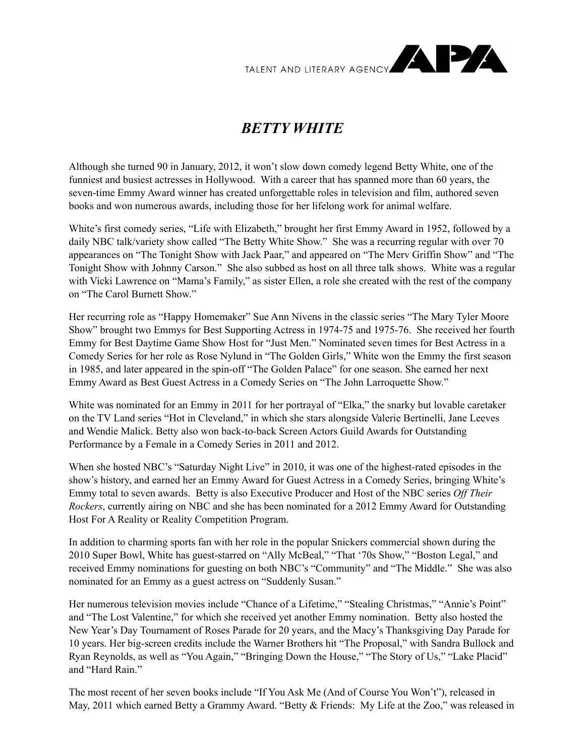

## *BETTY WHITE*

Although she turned 90 in January, 2012, it won't slow down comedy legend Betty White, one of the funniest and busiest actresses in Hollywood. With a career that has spanned more than 60 years, the seven-time Emmy Award winner has created unforgettable roles in television and film, authored seven books and won numerous awards, including those for her lifelong work for animal welfare.

White's first comedy series, "Life with Elizabeth," brought her first Emmy Award in 1952, followed by a daily NBC talk/variety show called "The Betty White Show." She was a recurring regular with over 70 appearances on "The Tonight Show with Jack Paar," and appeared on "The Merv Griffin Show" and "The Tonight Show with Johnny Carson." She also subbed as host on all three talk shows. White was a regular with Vicki Lawrence on "Mama's Family," as sister Ellen, a role she created with the rest of the company on "The Carol Burnett Show."

Her recurring role as "Happy Homemaker" Sue Ann Nivens in the classic series "The Mary Tyler Moore Show" brought two Emmys for Best Supporting Actress in 1974-75 and 1975-76. She received her fourth Emmy for Best Daytime Game Show Host for "Just Men." Nominated seven times for Best Actress in a Comedy Series for her role as Rose Nylund in "The Golden Girls," White won the Emmy the first season in 1985, and later appeared in the spin-off "The Golden Palace" for one season. She earned her next Emmy Award as Best Guest Actress in a Comedy Series on "The John Larroquette Show."

White was nominated for an Emmy in 2011 for her portrayal of "Elka," the snarky but lovable caretaker on the TV Land series "Hot in Cleveland," in which she stars alongside Valerie Bertinelli, Jane Leeves and Wendie Malick. Betty also won back-to-back Screen Actors Guild Awards for Outstanding Performance by a Female in a Comedy Series in 2011 and 2012.

When she hosted NBC's "Saturday Night Live" in 2010, it was one of the highest-rated episodes in the show's history, and earned her an Emmy Award for Guest Actress in a Comedy Series, bringing White's Emmy total to seven awards. Betty is also Executive Producer and Host of the NBC series *Off Their Rockers*, currently airing on NBC and she has been nominated for a 2012 Emmy Award for Outstanding Host For A Reality or Reality Competition Program.

In addition to charming sports fan with her role in the popular Snickers commercial shown during the 2010 Super Bowl, White has guest-starred on "Ally McBeal," "That '70s Show," "Boston Legal," and received Emmy nominations for guesting on both NBC's "Community" and "The Middle." She was also nominated for an Emmy as a guest actress on "Suddenly Susan."

Her numerous television movies include "Chance of a Lifetime," "Stealing Christmas," "Annie's Point" and "The Lost Valentine," for which she received yet another Emmy nomination. Betty also hosted the New Year's Day Tournament of Roses Parade for 20 years, and the Macy's Thanksgiving Day Parade for 10 years. Her big-screen credits include the Warner Brothers hit "The Proposal," with Sandra Bullock and Ryan Reynolds, as well as "You Again," "Bringing Down the House," "The Story of Us," "Lake Placid" and "Hard Rain."

The most recent of her seven books include "If You Ask Me (And of Course You Won't"), released in May, 2011 which earned Betty a Grammy Award. "Betty & Friends: My Life at the Zoo," was released in